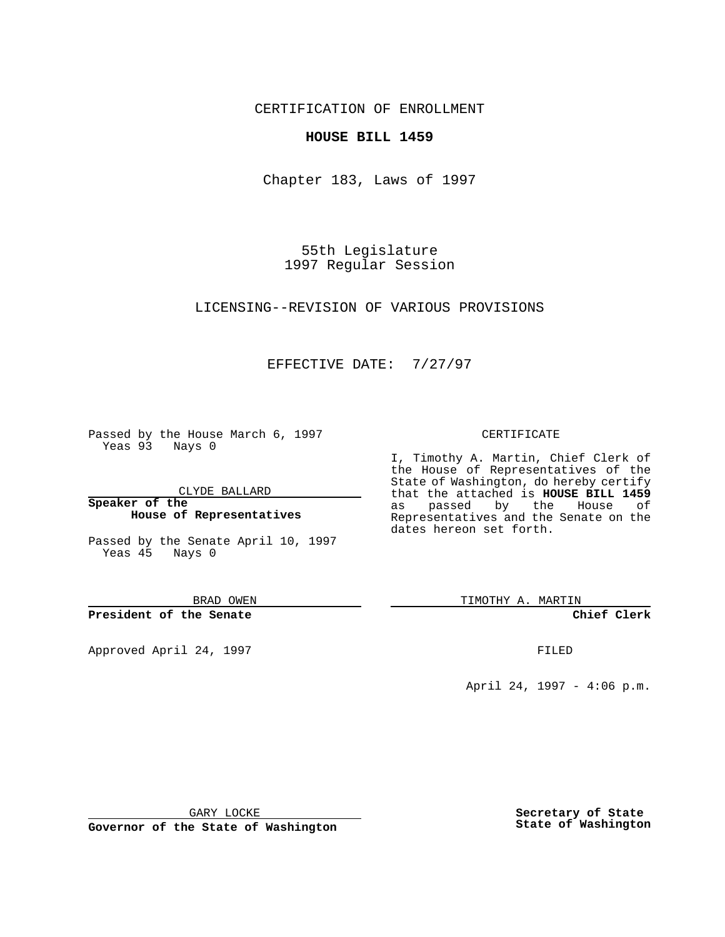CERTIFICATION OF ENROLLMENT

### **HOUSE BILL 1459**

Chapter 183, Laws of 1997

55th Legislature 1997 Regular Session

LICENSING--REVISION OF VARIOUS PROVISIONS

## EFFECTIVE DATE: 7/27/97

Passed by the House March 6, 1997 Yeas 93 Nays 0

CLYDE BALLARD

**Speaker of the House of Representatives**

Passed by the Senate April 10, 1997 Yeas 45 Nays 0

BRAD OWEN

**President of the Senate**

Approved April 24, 1997 **FILED** 

#### CERTIFICATE

I, Timothy A. Martin, Chief Clerk of the House of Representatives of the State of Washington, do hereby certify that the attached is **HOUSE BILL 1459** as passed by the House of Representatives and the Senate on the dates hereon set forth.

TIMOTHY A. MARTIN

**Chief Clerk**

April 24, 1997 - 4:06 p.m.

GARY LOCKE

**Governor of the State of Washington**

**Secretary of State State of Washington**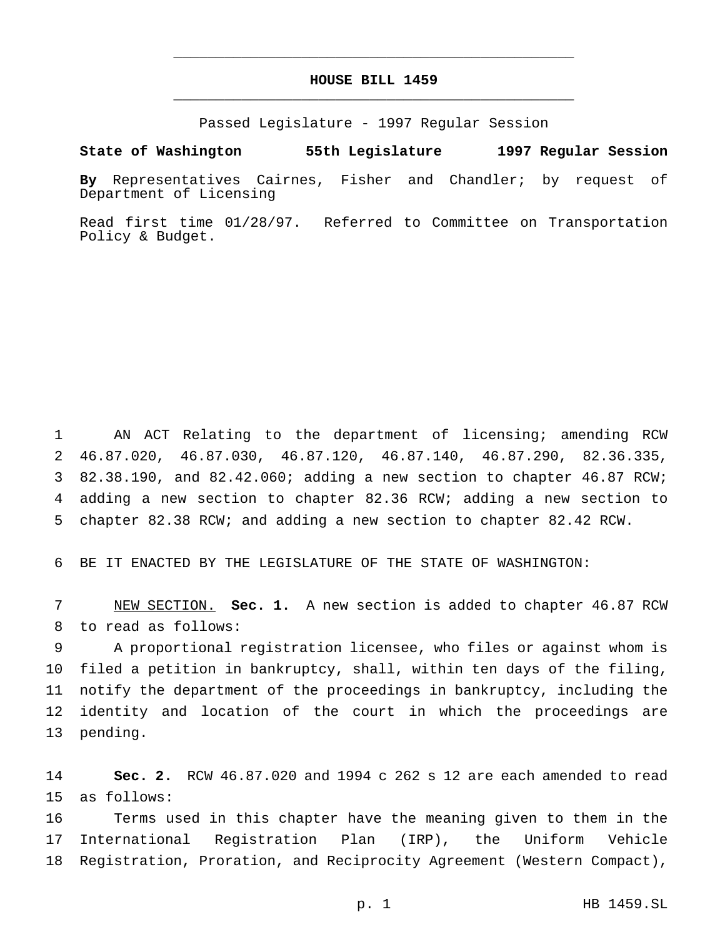# **HOUSE BILL 1459** \_\_\_\_\_\_\_\_\_\_\_\_\_\_\_\_\_\_\_\_\_\_\_\_\_\_\_\_\_\_\_\_\_\_\_\_\_\_\_\_\_\_\_\_\_\_\_

\_\_\_\_\_\_\_\_\_\_\_\_\_\_\_\_\_\_\_\_\_\_\_\_\_\_\_\_\_\_\_\_\_\_\_\_\_\_\_\_\_\_\_\_\_\_\_

Passed Legislature - 1997 Regular Session

#### **State of Washington 55th Legislature 1997 Regular Session**

**By** Representatives Cairnes, Fisher and Chandler; by request of Department of Licensing

Read first time 01/28/97. Referred to Committee on Transportation Policy & Budget.

 AN ACT Relating to the department of licensing; amending RCW 46.87.020, 46.87.030, 46.87.120, 46.87.140, 46.87.290, 82.36.335, 82.38.190, and 82.42.060; adding a new section to chapter 46.87 RCW; adding a new section to chapter 82.36 RCW; adding a new section to chapter 82.38 RCW; and adding a new section to chapter 82.42 RCW.

BE IT ENACTED BY THE LEGISLATURE OF THE STATE OF WASHINGTON:

 NEW SECTION. **Sec. 1.** A new section is added to chapter 46.87 RCW to read as follows:

 A proportional registration licensee, who files or against whom is filed a petition in bankruptcy, shall, within ten days of the filing, notify the department of the proceedings in bankruptcy, including the identity and location of the court in which the proceedings are pending.

 **Sec. 2.** RCW 46.87.020 and 1994 c 262 s 12 are each amended to read as follows:

 Terms used in this chapter have the meaning given to them in the International Registration Plan (IRP), the Uniform Vehicle Registration, Proration, and Reciprocity Agreement (Western Compact),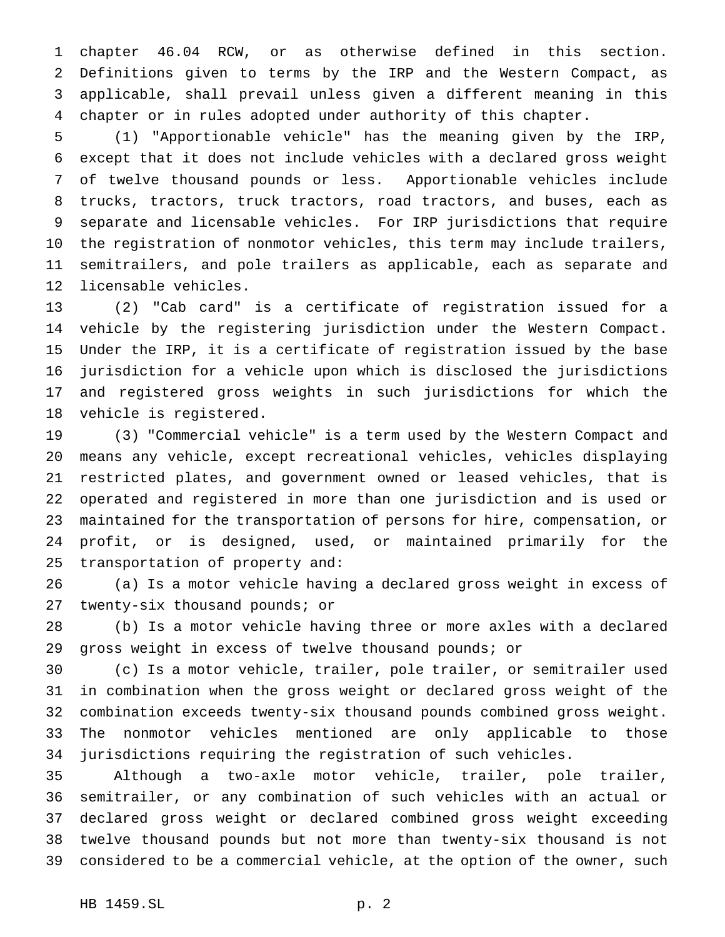chapter 46.04 RCW, or as otherwise defined in this section. Definitions given to terms by the IRP and the Western Compact, as applicable, shall prevail unless given a different meaning in this chapter or in rules adopted under authority of this chapter.

 (1) "Apportionable vehicle" has the meaning given by the IRP, except that it does not include vehicles with a declared gross weight of twelve thousand pounds or less. Apportionable vehicles include trucks, tractors, truck tractors, road tractors, and buses, each as separate and licensable vehicles. For IRP jurisdictions that require the registration of nonmotor vehicles, this term may include trailers, semitrailers, and pole trailers as applicable, each as separate and licensable vehicles.

 (2) "Cab card" is a certificate of registration issued for a vehicle by the registering jurisdiction under the Western Compact. Under the IRP, it is a certificate of registration issued by the base jurisdiction for a vehicle upon which is disclosed the jurisdictions and registered gross weights in such jurisdictions for which the vehicle is registered.

 (3) "Commercial vehicle" is a term used by the Western Compact and means any vehicle, except recreational vehicles, vehicles displaying restricted plates, and government owned or leased vehicles, that is operated and registered in more than one jurisdiction and is used or maintained for the transportation of persons for hire, compensation, or profit, or is designed, used, or maintained primarily for the transportation of property and:

 (a) Is a motor vehicle having a declared gross weight in excess of twenty-six thousand pounds; or

 (b) Is a motor vehicle having three or more axles with a declared gross weight in excess of twelve thousand pounds; or

 (c) Is a motor vehicle, trailer, pole trailer, or semitrailer used in combination when the gross weight or declared gross weight of the combination exceeds twenty-six thousand pounds combined gross weight. The nonmotor vehicles mentioned are only applicable to those jurisdictions requiring the registration of such vehicles.

 Although a two-axle motor vehicle, trailer, pole trailer, semitrailer, or any combination of such vehicles with an actual or declared gross weight or declared combined gross weight exceeding twelve thousand pounds but not more than twenty-six thousand is not considered to be a commercial vehicle, at the option of the owner, such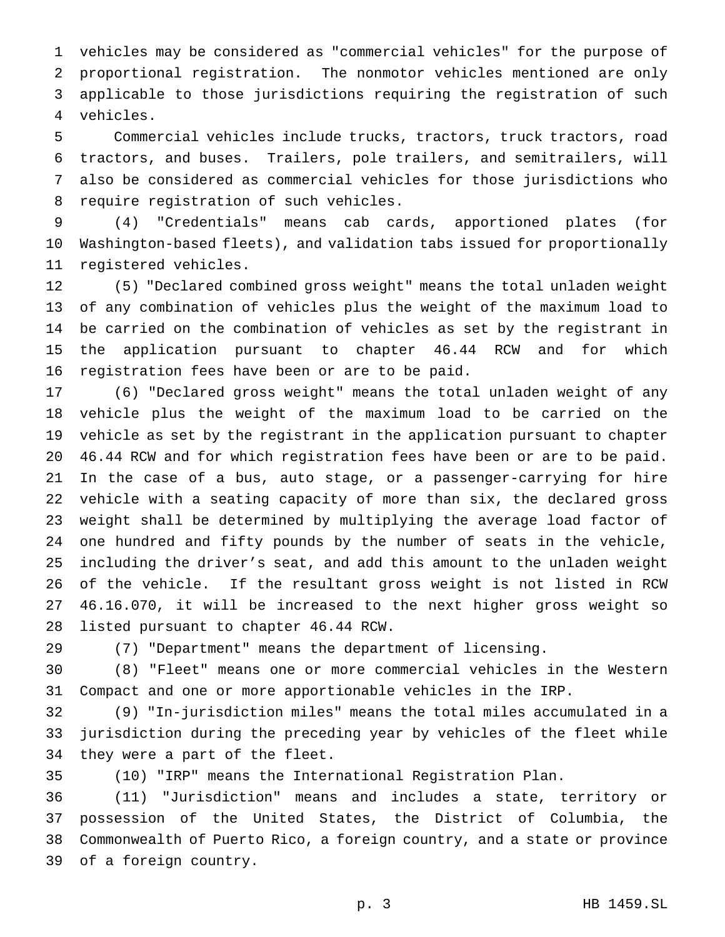vehicles may be considered as "commercial vehicles" for the purpose of proportional registration. The nonmotor vehicles mentioned are only applicable to those jurisdictions requiring the registration of such vehicles.

 Commercial vehicles include trucks, tractors, truck tractors, road tractors, and buses. Trailers, pole trailers, and semitrailers, will also be considered as commercial vehicles for those jurisdictions who require registration of such vehicles.

 (4) "Credentials" means cab cards, apportioned plates (for Washington-based fleets), and validation tabs issued for proportionally registered vehicles.

 (5) "Declared combined gross weight" means the total unladen weight of any combination of vehicles plus the weight of the maximum load to be carried on the combination of vehicles as set by the registrant in the application pursuant to chapter 46.44 RCW and for which registration fees have been or are to be paid.

 (6) "Declared gross weight" means the total unladen weight of any vehicle plus the weight of the maximum load to be carried on the vehicle as set by the registrant in the application pursuant to chapter 46.44 RCW and for which registration fees have been or are to be paid. In the case of a bus, auto stage, or a passenger-carrying for hire vehicle with a seating capacity of more than six, the declared gross weight shall be determined by multiplying the average load factor of one hundred and fifty pounds by the number of seats in the vehicle, including the driver's seat, and add this amount to the unladen weight of the vehicle. If the resultant gross weight is not listed in RCW 46.16.070, it will be increased to the next higher gross weight so listed pursuant to chapter 46.44 RCW.

(7) "Department" means the department of licensing.

 (8) "Fleet" means one or more commercial vehicles in the Western Compact and one or more apportionable vehicles in the IRP.

 (9) "In-jurisdiction miles" means the total miles accumulated in a jurisdiction during the preceding year by vehicles of the fleet while they were a part of the fleet.

(10) "IRP" means the International Registration Plan.

 (11) "Jurisdiction" means and includes a state, territory or possession of the United States, the District of Columbia, the Commonwealth of Puerto Rico, a foreign country, and a state or province of a foreign country.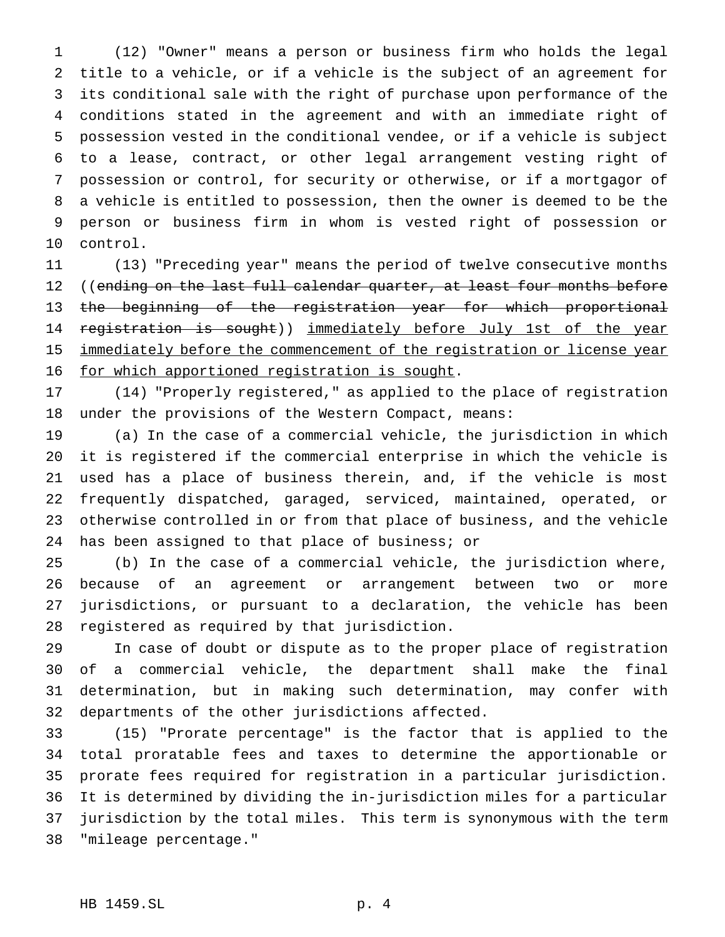(12) "Owner" means a person or business firm who holds the legal title to a vehicle, or if a vehicle is the subject of an agreement for its conditional sale with the right of purchase upon performance of the conditions stated in the agreement and with an immediate right of possession vested in the conditional vendee, or if a vehicle is subject to a lease, contract, or other legal arrangement vesting right of possession or control, for security or otherwise, or if a mortgagor of a vehicle is entitled to possession, then the owner is deemed to be the person or business firm in whom is vested right of possession or control.

 (13) "Preceding year" means the period of twelve consecutive months 12 ((ending on the last full calendar quarter, at least four months before 13 the beginning of the registration year for which proportional 14 registration is sought)) immediately before July 1st of the year 15 immediately before the commencement of the registration or license year 16 for which apportioned registration is sought.

 (14) "Properly registered," as applied to the place of registration under the provisions of the Western Compact, means:

 (a) In the case of a commercial vehicle, the jurisdiction in which it is registered if the commercial enterprise in which the vehicle is used has a place of business therein, and, if the vehicle is most frequently dispatched, garaged, serviced, maintained, operated, or otherwise controlled in or from that place of business, and the vehicle has been assigned to that place of business; or

 (b) In the case of a commercial vehicle, the jurisdiction where, because of an agreement or arrangement between two or more jurisdictions, or pursuant to a declaration, the vehicle has been registered as required by that jurisdiction.

 In case of doubt or dispute as to the proper place of registration of a commercial vehicle, the department shall make the final determination, but in making such determination, may confer with departments of the other jurisdictions affected.

 (15) "Prorate percentage" is the factor that is applied to the total proratable fees and taxes to determine the apportionable or prorate fees required for registration in a particular jurisdiction. It is determined by dividing the in-jurisdiction miles for a particular jurisdiction by the total miles. This term is synonymous with the term "mileage percentage."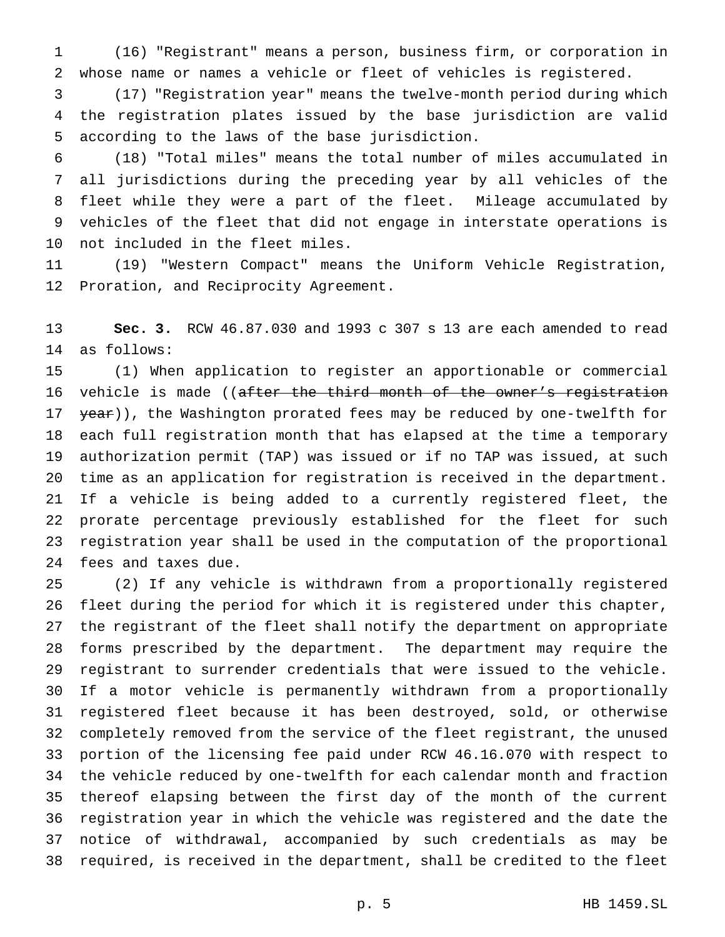(16) "Registrant" means a person, business firm, or corporation in whose name or names a vehicle or fleet of vehicles is registered.

 (17) "Registration year" means the twelve-month period during which the registration plates issued by the base jurisdiction are valid according to the laws of the base jurisdiction.

 (18) "Total miles" means the total number of miles accumulated in all jurisdictions during the preceding year by all vehicles of the fleet while they were a part of the fleet. Mileage accumulated by vehicles of the fleet that did not engage in interstate operations is not included in the fleet miles.

 (19) "Western Compact" means the Uniform Vehicle Registration, Proration, and Reciprocity Agreement.

 **Sec. 3.** RCW 46.87.030 and 1993 c 307 s 13 are each amended to read as follows:

 (1) When application to register an apportionable or commercial 16 vehicle is made ((after the third month of the owner's registration 17 year)), the Washington prorated fees may be reduced by one-twelfth for each full registration month that has elapsed at the time a temporary authorization permit (TAP) was issued or if no TAP was issued, at such time as an application for registration is received in the department. If a vehicle is being added to a currently registered fleet, the prorate percentage previously established for the fleet for such registration year shall be used in the computation of the proportional fees and taxes due.

 (2) If any vehicle is withdrawn from a proportionally registered fleet during the period for which it is registered under this chapter, the registrant of the fleet shall notify the department on appropriate forms prescribed by the department. The department may require the registrant to surrender credentials that were issued to the vehicle. If a motor vehicle is permanently withdrawn from a proportionally registered fleet because it has been destroyed, sold, or otherwise completely removed from the service of the fleet registrant, the unused portion of the licensing fee paid under RCW 46.16.070 with respect to the vehicle reduced by one-twelfth for each calendar month and fraction thereof elapsing between the first day of the month of the current registration year in which the vehicle was registered and the date the notice of withdrawal, accompanied by such credentials as may be required, is received in the department, shall be credited to the fleet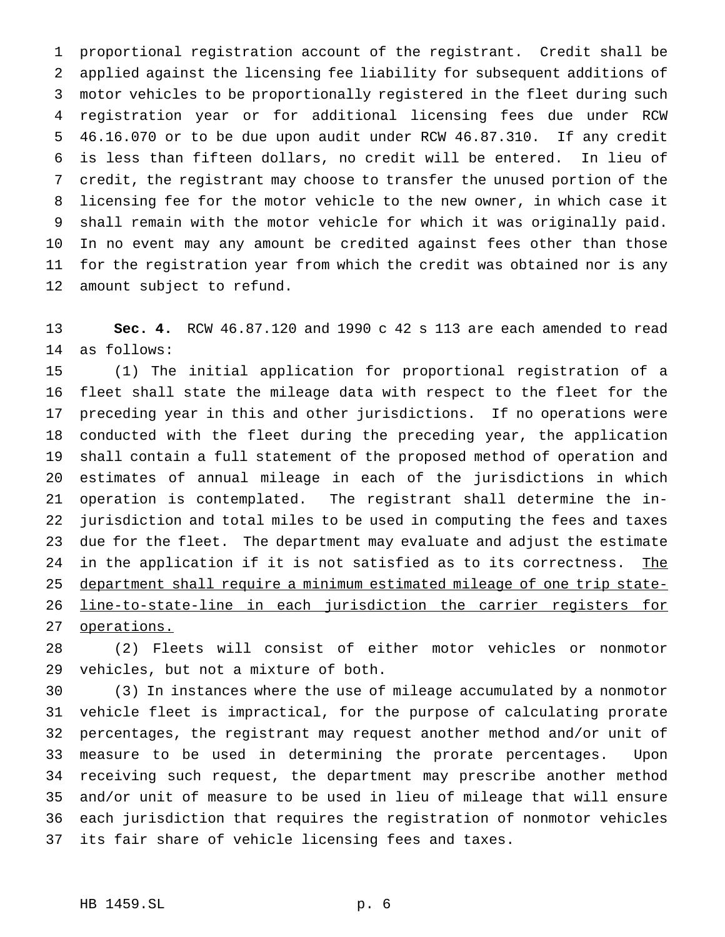proportional registration account of the registrant. Credit shall be applied against the licensing fee liability for subsequent additions of motor vehicles to be proportionally registered in the fleet during such registration year or for additional licensing fees due under RCW 46.16.070 or to be due upon audit under RCW 46.87.310. If any credit is less than fifteen dollars, no credit will be entered. In lieu of credit, the registrant may choose to transfer the unused portion of the licensing fee for the motor vehicle to the new owner, in which case it shall remain with the motor vehicle for which it was originally paid. In no event may any amount be credited against fees other than those for the registration year from which the credit was obtained nor is any amount subject to refund.

 **Sec. 4.** RCW 46.87.120 and 1990 c 42 s 113 are each amended to read as follows:

 (1) The initial application for proportional registration of a fleet shall state the mileage data with respect to the fleet for the preceding year in this and other jurisdictions. If no operations were conducted with the fleet during the preceding year, the application shall contain a full statement of the proposed method of operation and estimates of annual mileage in each of the jurisdictions in which operation is contemplated. The registrant shall determine the in- jurisdiction and total miles to be used in computing the fees and taxes due for the fleet. The department may evaluate and adjust the estimate 24 in the application if it is not satisfied as to its correctness. The department shall require a minimum estimated mileage of one trip state- line-to-state-line in each jurisdiction the carrier registers for operations.

 (2) Fleets will consist of either motor vehicles or nonmotor vehicles, but not a mixture of both.

 (3) In instances where the use of mileage accumulated by a nonmotor vehicle fleet is impractical, for the purpose of calculating prorate percentages, the registrant may request another method and/or unit of measure to be used in determining the prorate percentages. Upon receiving such request, the department may prescribe another method and/or unit of measure to be used in lieu of mileage that will ensure each jurisdiction that requires the registration of nonmotor vehicles its fair share of vehicle licensing fees and taxes.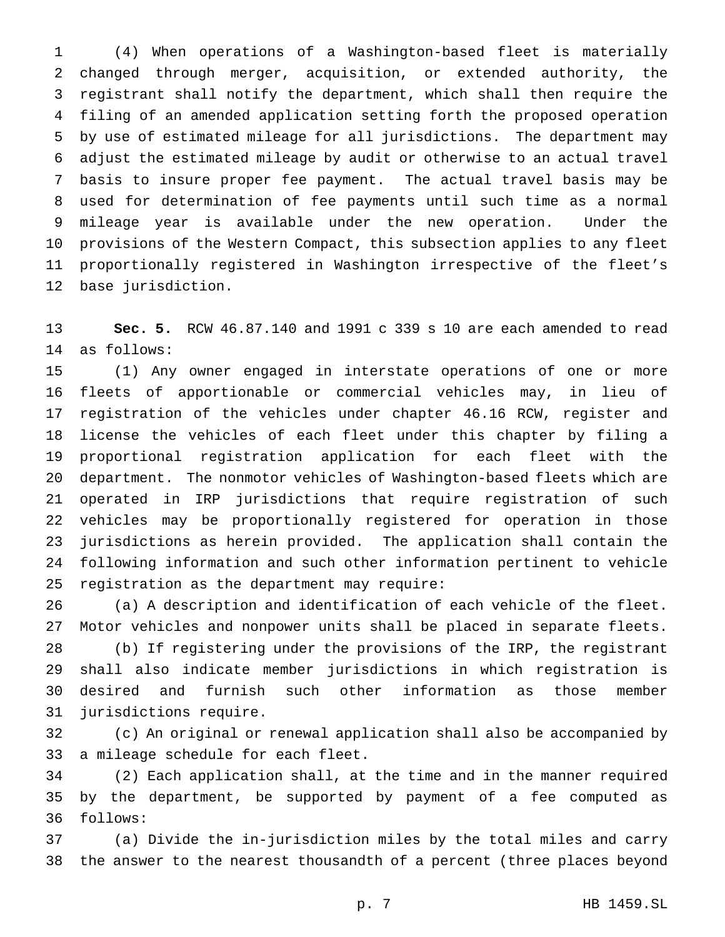(4) When operations of a Washington-based fleet is materially changed through merger, acquisition, or extended authority, the registrant shall notify the department, which shall then require the filing of an amended application setting forth the proposed operation by use of estimated mileage for all jurisdictions. The department may adjust the estimated mileage by audit or otherwise to an actual travel basis to insure proper fee payment. The actual travel basis may be used for determination of fee payments until such time as a normal mileage year is available under the new operation. Under the provisions of the Western Compact, this subsection applies to any fleet proportionally registered in Washington irrespective of the fleet's base jurisdiction.

 **Sec. 5.** RCW 46.87.140 and 1991 c 339 s 10 are each amended to read as follows:

 (1) Any owner engaged in interstate operations of one or more fleets of apportionable or commercial vehicles may, in lieu of registration of the vehicles under chapter 46.16 RCW, register and license the vehicles of each fleet under this chapter by filing a proportional registration application for each fleet with the department. The nonmotor vehicles of Washington-based fleets which are operated in IRP jurisdictions that require registration of such vehicles may be proportionally registered for operation in those jurisdictions as herein provided. The application shall contain the following information and such other information pertinent to vehicle registration as the department may require:

 (a) A description and identification of each vehicle of the fleet. Motor vehicles and nonpower units shall be placed in separate fleets.

 (b) If registering under the provisions of the IRP, the registrant shall also indicate member jurisdictions in which registration is desired and furnish such other information as those member jurisdictions require.

 (c) An original or renewal application shall also be accompanied by a mileage schedule for each fleet.

 (2) Each application shall, at the time and in the manner required by the department, be supported by payment of a fee computed as follows:

 (a) Divide the in-jurisdiction miles by the total miles and carry the answer to the nearest thousandth of a percent (three places beyond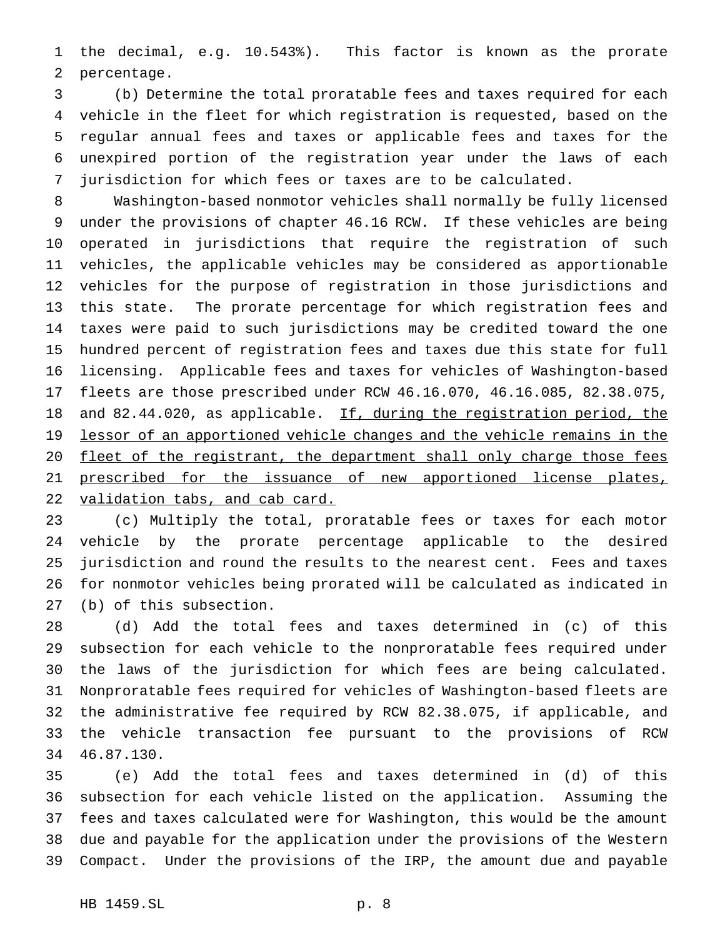the decimal, e.g. 10.543%). This factor is known as the prorate percentage.

 (b) Determine the total proratable fees and taxes required for each vehicle in the fleet for which registration is requested, based on the regular annual fees and taxes or applicable fees and taxes for the unexpired portion of the registration year under the laws of each jurisdiction for which fees or taxes are to be calculated.

 Washington-based nonmotor vehicles shall normally be fully licensed under the provisions of chapter 46.16 RCW. If these vehicles are being operated in jurisdictions that require the registration of such vehicles, the applicable vehicles may be considered as apportionable vehicles for the purpose of registration in those jurisdictions and this state. The prorate percentage for which registration fees and taxes were paid to such jurisdictions may be credited toward the one hundred percent of registration fees and taxes due this state for full licensing. Applicable fees and taxes for vehicles of Washington-based fleets are those prescribed under RCW 46.16.070, 46.16.085, 82.38.075, 18 and 82.44.020, as applicable. If, during the registration period, the 19 lessor of an apportioned vehicle changes and the vehicle remains in the 20 fleet of the registrant, the department shall only charge those fees 21 prescribed for the issuance of new apportioned license plates, 22 validation tabs, and cab card.

 (c) Multiply the total, proratable fees or taxes for each motor vehicle by the prorate percentage applicable to the desired jurisdiction and round the results to the nearest cent. Fees and taxes for nonmotor vehicles being prorated will be calculated as indicated in (b) of this subsection.

 (d) Add the total fees and taxes determined in (c) of this subsection for each vehicle to the nonproratable fees required under the laws of the jurisdiction for which fees are being calculated. Nonproratable fees required for vehicles of Washington-based fleets are the administrative fee required by RCW 82.38.075, if applicable, and the vehicle transaction fee pursuant to the provisions of RCW 46.87.130.

 (e) Add the total fees and taxes determined in (d) of this subsection for each vehicle listed on the application. Assuming the fees and taxes calculated were for Washington, this would be the amount due and payable for the application under the provisions of the Western Compact. Under the provisions of the IRP, the amount due and payable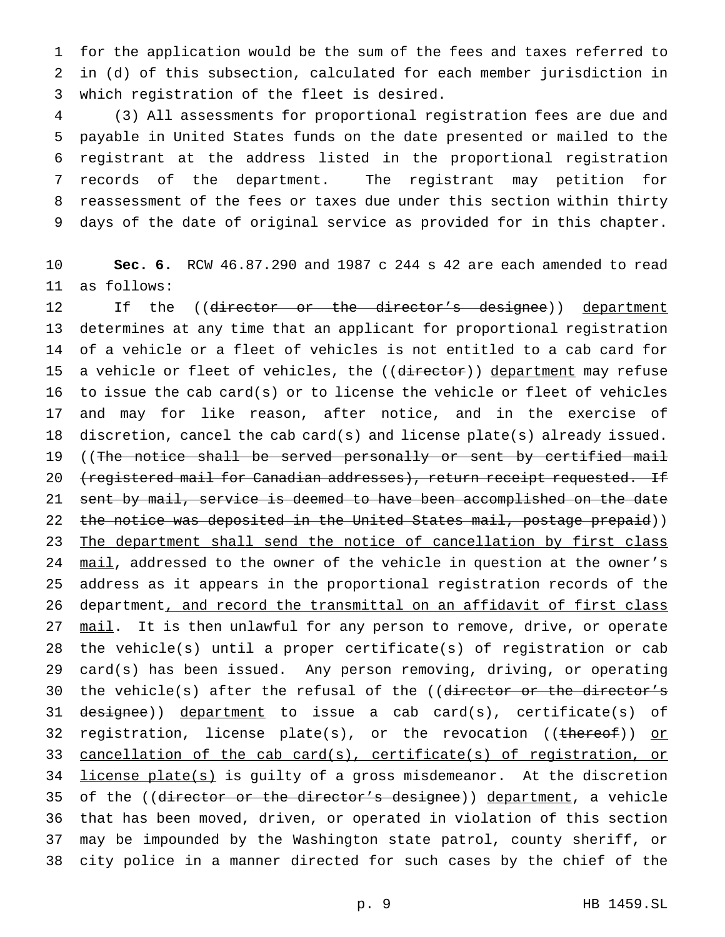for the application would be the sum of the fees and taxes referred to in (d) of this subsection, calculated for each member jurisdiction in which registration of the fleet is desired.

 (3) All assessments for proportional registration fees are due and payable in United States funds on the date presented or mailed to the registrant at the address listed in the proportional registration records of the department. The registrant may petition for reassessment of the fees or taxes due under this section within thirty days of the date of original service as provided for in this chapter.

 **Sec. 6.** RCW 46.87.290 and 1987 c 244 s 42 are each amended to read as follows:

12 If the ((director or the director's designee)) department determines at any time that an applicant for proportional registration of a vehicle or a fleet of vehicles is not entitled to a cab card for 15 a vehicle or fleet of vehicles, the ((director)) department may refuse to issue the cab card(s) or to license the vehicle or fleet of vehicles and may for like reason, after notice, and in the exercise of discretion, cancel the cab card(s) and license plate(s) already issued. 19 ((The notice shall be served personally or sent by certified mail 20 (registered mail for Canadian addresses), return receipt requested. If 21 sent by mail, service is deemed to have been accomplished on the date 22 the notice was deposited in the United States mail, postage prepaid)) 23 The department shall send the notice of cancellation by first class 24 mail, addressed to the owner of the vehicle in question at the owner's address as it appears in the proportional registration records of the department, and record the transmittal on an affidavit of first class 27 mail. It is then unlawful for any person to remove, drive, or operate the vehicle(s) until a proper certificate(s) of registration or cab card(s) has been issued. Any person removing, driving, or operating 30 the vehicle(s) after the refusal of the ((director or the director's 31 designee)) department to issue a cab card(s), certificate(s) of 32 registration, license plate(s), or the revocation ((thereof)) or cancellation of the cab card(s), certificate(s) of registration, or 34 license plate(s) is guilty of a gross misdemeanor. At the discretion 35 of the ((director or the director's designee)) department, a vehicle that has been moved, driven, or operated in violation of this section may be impounded by the Washington state patrol, county sheriff, or city police in a manner directed for such cases by the chief of the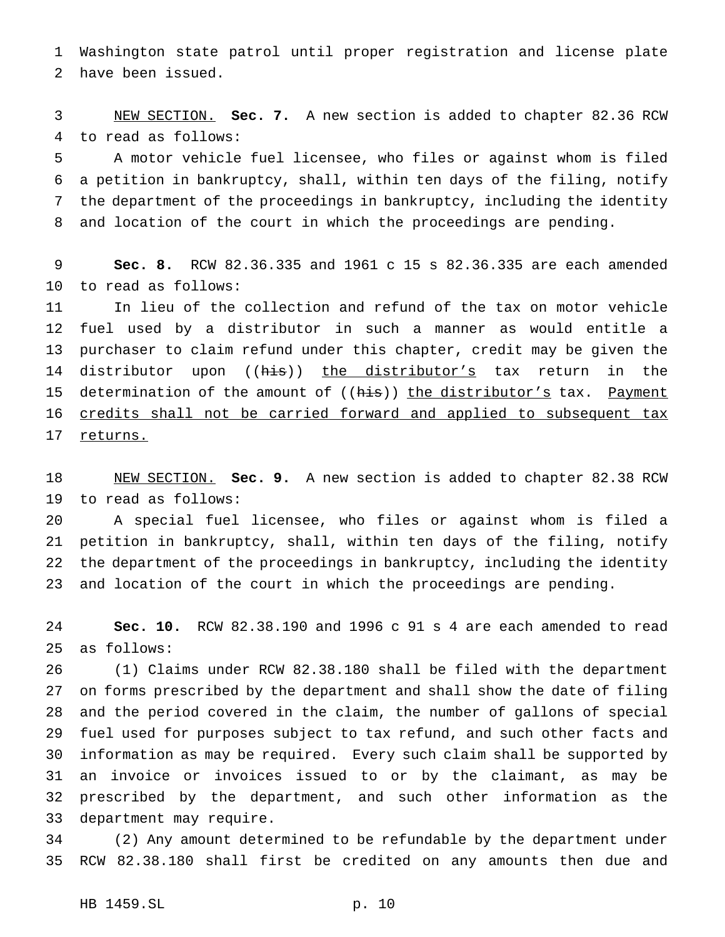Washington state patrol until proper registration and license plate have been issued.

 NEW SECTION. **Sec. 7.** A new section is added to chapter 82.36 RCW to read as follows:

 A motor vehicle fuel licensee, who files or against whom is filed a petition in bankruptcy, shall, within ten days of the filing, notify the department of the proceedings in bankruptcy, including the identity and location of the court in which the proceedings are pending.

 **Sec. 8.** RCW 82.36.335 and 1961 c 15 s 82.36.335 are each amended to read as follows:

 In lieu of the collection and refund of the tax on motor vehicle fuel used by a distributor in such a manner as would entitle a purchaser to claim refund under this chapter, credit may be given the 14 distributor upon ((his)) the distributor's tax return in the 15 determination of the amount of ((his)) the distributor's tax. Payment credits shall not be carried forward and applied to subsequent tax 17 returns.

 NEW SECTION. **Sec. 9.** A new section is added to chapter 82.38 RCW to read as follows:

 A special fuel licensee, who files or against whom is filed a petition in bankruptcy, shall, within ten days of the filing, notify the department of the proceedings in bankruptcy, including the identity and location of the court in which the proceedings are pending.

 **Sec. 10.** RCW 82.38.190 and 1996 c 91 s 4 are each amended to read as follows:

 (1) Claims under RCW 82.38.180 shall be filed with the department on forms prescribed by the department and shall show the date of filing and the period covered in the claim, the number of gallons of special fuel used for purposes subject to tax refund, and such other facts and information as may be required. Every such claim shall be supported by an invoice or invoices issued to or by the claimant, as may be prescribed by the department, and such other information as the department may require.

 (2) Any amount determined to be refundable by the department under RCW 82.38.180 shall first be credited on any amounts then due and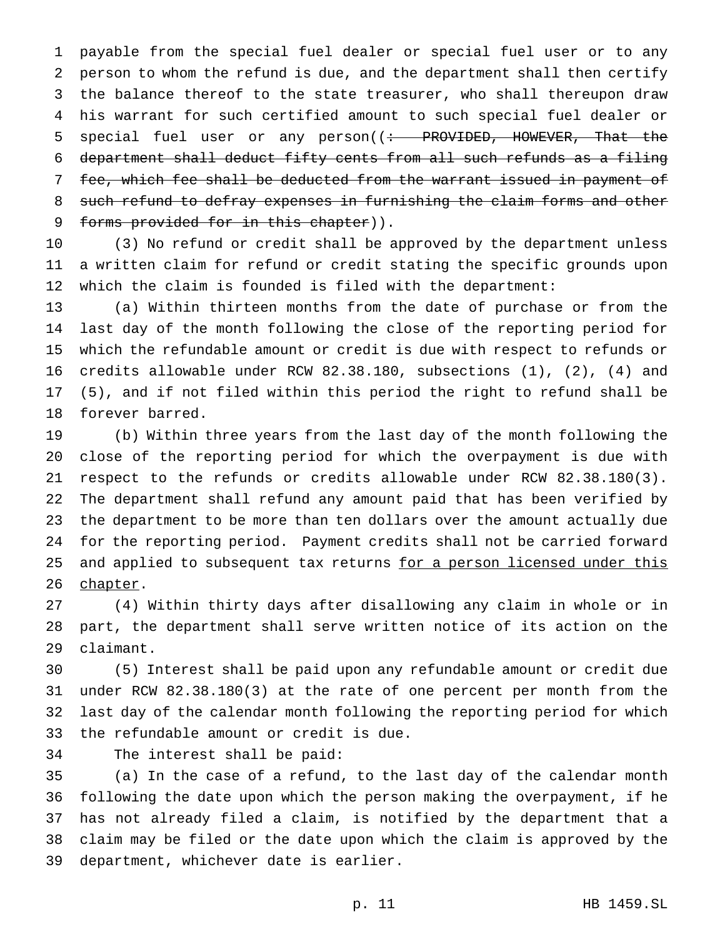payable from the special fuel dealer or special fuel user or to any person to whom the refund is due, and the department shall then certify the balance thereof to the state treasurer, who shall thereupon draw his warrant for such certified amount to such special fuel dealer or 5 special fuel user or any person((: PROVIDED, HOWEVER, That the department shall deduct fifty cents from all such refunds as a filing 7 fee, which fee shall be deducted from the warrant issued in payment of such refund to defray expenses in furnishing the claim forms and other 9 forms provided for in this chapter)).

 (3) No refund or credit shall be approved by the department unless a written claim for refund or credit stating the specific grounds upon which the claim is founded is filed with the department:

 (a) Within thirteen months from the date of purchase or from the last day of the month following the close of the reporting period for which the refundable amount or credit is due with respect to refunds or credits allowable under RCW 82.38.180, subsections (1), (2), (4) and (5), and if not filed within this period the right to refund shall be forever barred.

 (b) Within three years from the last day of the month following the close of the reporting period for which the overpayment is due with respect to the refunds or credits allowable under RCW 82.38.180(3). The department shall refund any amount paid that has been verified by the department to be more than ten dollars over the amount actually due for the reporting period. Payment credits shall not be carried forward 25 and applied to subsequent tax returns for a person licensed under this 26 chapter.

 (4) Within thirty days after disallowing any claim in whole or in part, the department shall serve written notice of its action on the claimant.

 (5) Interest shall be paid upon any refundable amount or credit due under RCW 82.38.180(3) at the rate of one percent per month from the last day of the calendar month following the reporting period for which the refundable amount or credit is due.

```
34 The interest shall be paid:
```
 (a) In the case of a refund, to the last day of the calendar month following the date upon which the person making the overpayment, if he has not already filed a claim, is notified by the department that a claim may be filed or the date upon which the claim is approved by the department, whichever date is earlier.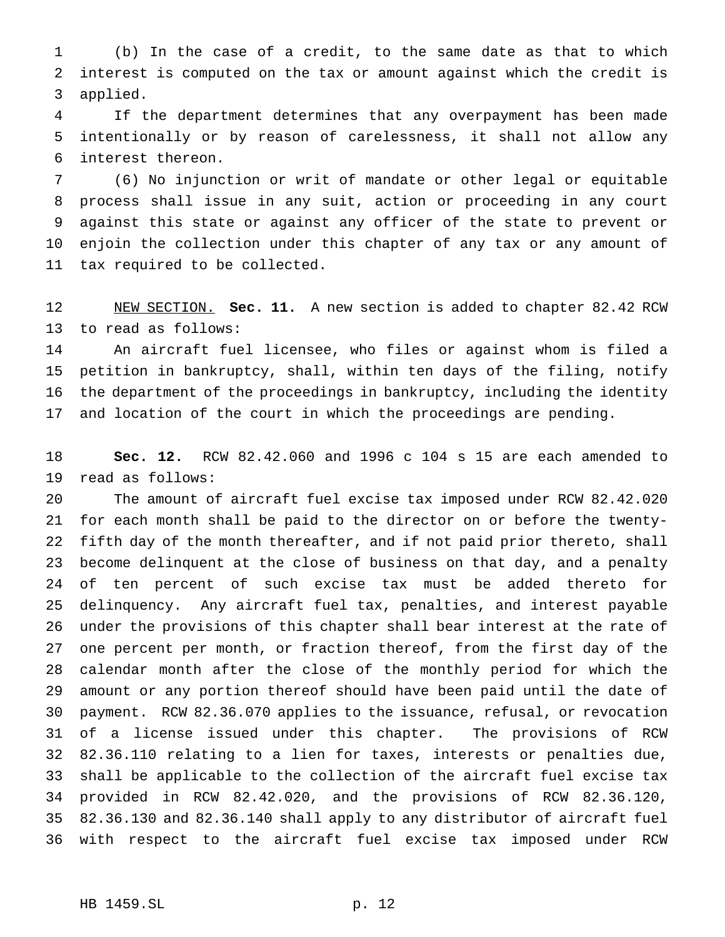(b) In the case of a credit, to the same date as that to which interest is computed on the tax or amount against which the credit is applied.

 If the department determines that any overpayment has been made intentionally or by reason of carelessness, it shall not allow any interest thereon.

 (6) No injunction or writ of mandate or other legal or equitable process shall issue in any suit, action or proceeding in any court against this state or against any officer of the state to prevent or enjoin the collection under this chapter of any tax or any amount of tax required to be collected.

 NEW SECTION. **Sec. 11.** A new section is added to chapter 82.42 RCW to read as follows:

 An aircraft fuel licensee, who files or against whom is filed a petition in bankruptcy, shall, within ten days of the filing, notify the department of the proceedings in bankruptcy, including the identity and location of the court in which the proceedings are pending.

 **Sec. 12.** RCW 82.42.060 and 1996 c 104 s 15 are each amended to read as follows:

 The amount of aircraft fuel excise tax imposed under RCW 82.42.020 for each month shall be paid to the director on or before the twenty- fifth day of the month thereafter, and if not paid prior thereto, shall become delinquent at the close of business on that day, and a penalty of ten percent of such excise tax must be added thereto for delinquency. Any aircraft fuel tax, penalties, and interest payable under the provisions of this chapter shall bear interest at the rate of one percent per month, or fraction thereof, from the first day of the calendar month after the close of the monthly period for which the amount or any portion thereof should have been paid until the date of payment. RCW 82.36.070 applies to the issuance, refusal, or revocation of a license issued under this chapter. The provisions of RCW 82.36.110 relating to a lien for taxes, interests or penalties due, shall be applicable to the collection of the aircraft fuel excise tax provided in RCW 82.42.020, and the provisions of RCW 82.36.120, 82.36.130 and 82.36.140 shall apply to any distributor of aircraft fuel with respect to the aircraft fuel excise tax imposed under RCW